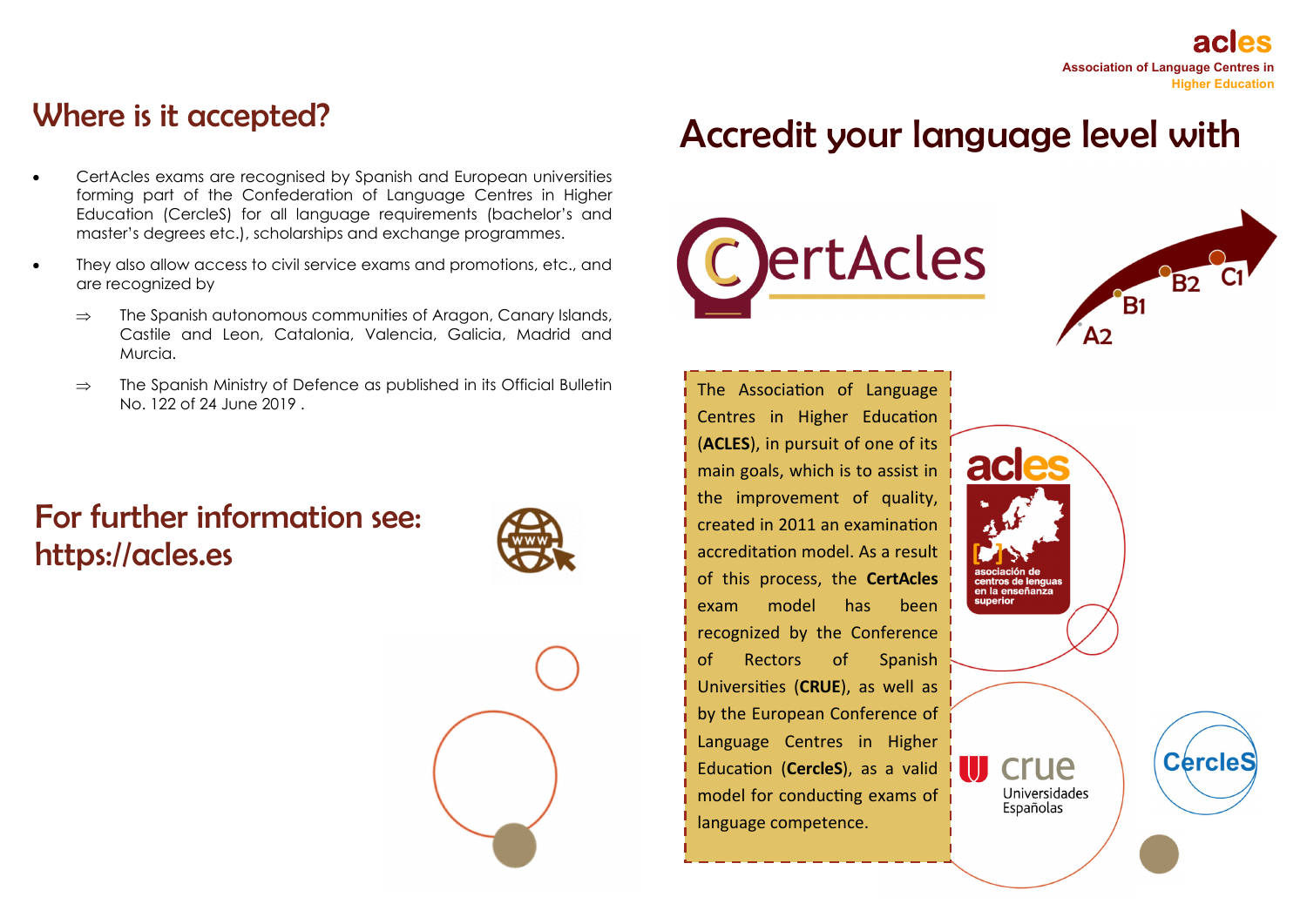## Where is it accepted?

- $\bullet$  CertAcles exams are recognised by Spanish and European universities forming part of the Confederation of Language Centres in Higher Education (CercleS) for all language requirements (bachelor's and master's degrees etc.), scholarships and exchange programmes.
- $\bullet$  They also allow access to civil service exams and promotions, etc., and are recognized by
	- $\Rightarrow$  The Spanish autonomous communities of Aragon, Canary Islands, Castile and Leon, Catalonia, Valencia, Galicia, Madrid and Murcia.
	- $\Rightarrow$  The Spanish Ministry of Defence as published in its Official Bulletin No. 122 of 24 June 2019 .

## For further information see: https://acles.es





# Accredit your language level with

ac

ntros de lenguas en la enseñanza

> crue Universidades Españolas





**CercleS** 

The Association of Language Centres in Higher Education (**ACLES**), in pursuit of one of its main goals, which is to assist in the improvement of quality, created in 2011 an examination accreditation model. As a result of this process, the **CertAcles** exam model has been recognized by the Conference of Rectors of Spanish Universi Ɵes (**CRUE**), as well as by the European Conference of Language Centres in Higher Education (**CercleS**), as a valid model for conducting exams of language competence.